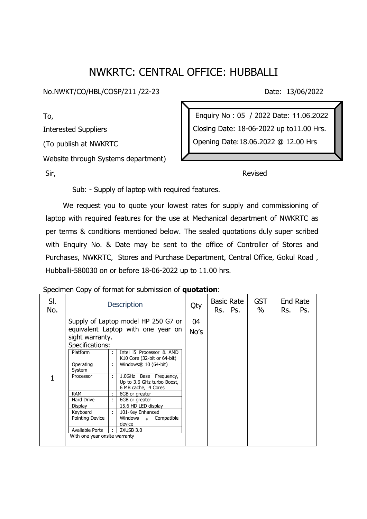## NWKRTC: CENTRAL OFFICE: HUBBALLI

No.NWKT/CO/HBL/COSP/211 /22-23 Date: 13/06/2022

To, Interested Suppliers (To publish at NWKRTC Website through Systems department)

Enquiry No : 05 / 2022 Date: 11.06.2022 Closing Date: 18-06-2022 up to11.00 Hrs. Opening Date:18.06.2022 @ 12.00 Hrs

Sir, **Revised** 

Sub: - Supply of laptop with required features.

 We request you to quote your lowest rates for supply and commissioning of laptop with required features for the use at Mechanical department of NWKRTC as per terms & conditions mentioned below. The sealed quotations duly super scribed with Enquiry No. & Date may be sent to the office of Controller of Stores and Purchases, NWKRTC, Stores and Purchase Department, Central Office, Gokul Road , Hubballi-580030 on or before 18-06-2022 up to 11.00 hrs.

Specimen Copy of format for submission of **quotation**:

| SI.<br>No. |                                     |   | <b>Description</b>                                                          | Qty  | <b>Basic Rate</b><br>Rs. Ps. | <b>GST</b><br>$\%$ | End Rate<br>Rs.<br>Ps. |
|------------|-------------------------------------|---|-----------------------------------------------------------------------------|------|------------------------------|--------------------|------------------------|
|            | Supply of Laptop model HP 250 G7 or |   |                                                                             | 04   |                              |                    |                        |
|            | equivalent Laptop with one year on  |   |                                                                             | No's |                              |                    |                        |
|            | sight warranty.                     |   |                                                                             |      |                              |                    |                        |
|            | Specifications:                     |   |                                                                             |      |                              |                    |                        |
|            | Platform                            | ÷ | Intel i5 Processor & AMD<br>K10 Core (32-bit or 64-bit)                     |      |                              |                    |                        |
|            | Operating<br>System                 | ÷ | Windows $\mathcal{R}$ 10 (64-bit)                                           |      |                              |                    |                        |
|            | Processor                           | ÷ | 1.0GHz Base Frequency,<br>Up to 3.6 GHz turbo Boost,<br>6 MB cache, 4 Cores |      |                              |                    |                        |
|            | <b>RAM</b>                          |   | 8GB or greater                                                              |      |                              |                    |                        |
|            | Hard Drive                          |   | 6GB or greater                                                              |      |                              |                    |                        |
|            | Display                             |   | 15.6 HD LED display                                                         |      |                              |                    |                        |
|            | Keyboard                            |   | 101-Key Enhanced                                                            |      |                              |                    |                        |
|            | Pointing Device                     |   | Compatible<br>Windows<br>$^{\circ}$<br>device                               |      |                              |                    |                        |
|            | Available Ports                     |   | 2XUSB 3.0                                                                   |      |                              |                    |                        |
|            | With one year onsite warranty       |   |                                                                             |      |                              |                    |                        |